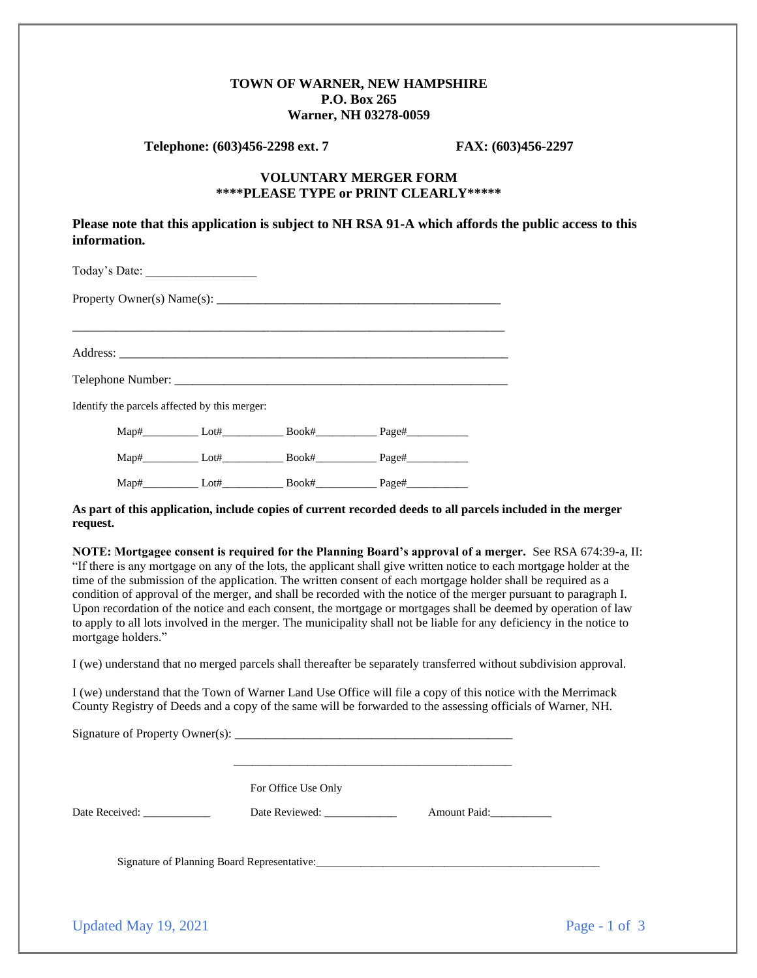## **TOWN OF WARNER, NEW HAMPSHIRE P.O. Box 265 Warner, NH 03278-0059**

**Telephone: (603)456-2298 ext. 7 FAX: (603)456-2297**

## **VOLUNTARY MERGER FORM \*\*\*\*PLEASE TYPE or PRINT CLEARLY\*\*\*\*\***

**Please note that this application is subject to NH RSA 91-A which affords the public access to this information.** 

| Today's Date:                                 |  |  |  |  |  |  |  |  |
|-----------------------------------------------|--|--|--|--|--|--|--|--|
|                                               |  |  |  |  |  |  |  |  |
|                                               |  |  |  |  |  |  |  |  |
|                                               |  |  |  |  |  |  |  |  |
| Identify the parcels affected by this merger: |  |  |  |  |  |  |  |  |
|                                               |  |  |  |  |  |  |  |  |
|                                               |  |  |  |  |  |  |  |  |
|                                               |  |  |  |  |  |  |  |  |

**As part of this application, include copies of current recorded deeds to all parcels included in the merger request.** 

**NOTE: Mortgagee consent is required for the Planning Board's approval of a merger.** See RSA 674:39-a, II: "If there is any mortgage on any of the lots, the applicant shall give written notice to each mortgage holder at the time of the submission of the application. The written consent of each mortgage holder shall be required as a condition of approval of the merger, and shall be recorded with the notice of the merger pursuant to paragraph I. Upon recordation of the notice and each consent, the mortgage or mortgages shall be deemed by operation of law to apply to all lots involved in the merger. The municipality shall not be liable for any deficiency in the notice to mortgage holders."

I (we) understand that no merged parcels shall thereafter be separately transferred without subdivision approval.

I (we) understand that the Town of Warner Land Use Office will file a copy of this notice with the Merrimack County Registry of Deeds and a copy of the same will be forwarded to the assessing officials of Warner, NH.

|                      | For Office Use Only                         |              |                 |
|----------------------|---------------------------------------------|--------------|-----------------|
| Date Received:       | Date Reviewed: _______________              | Amount Paid: |                 |
|                      | Signature of Planning Board Representative: |              |                 |
| Updated May 19, 2021 |                                             |              | Page - 1 of $3$ |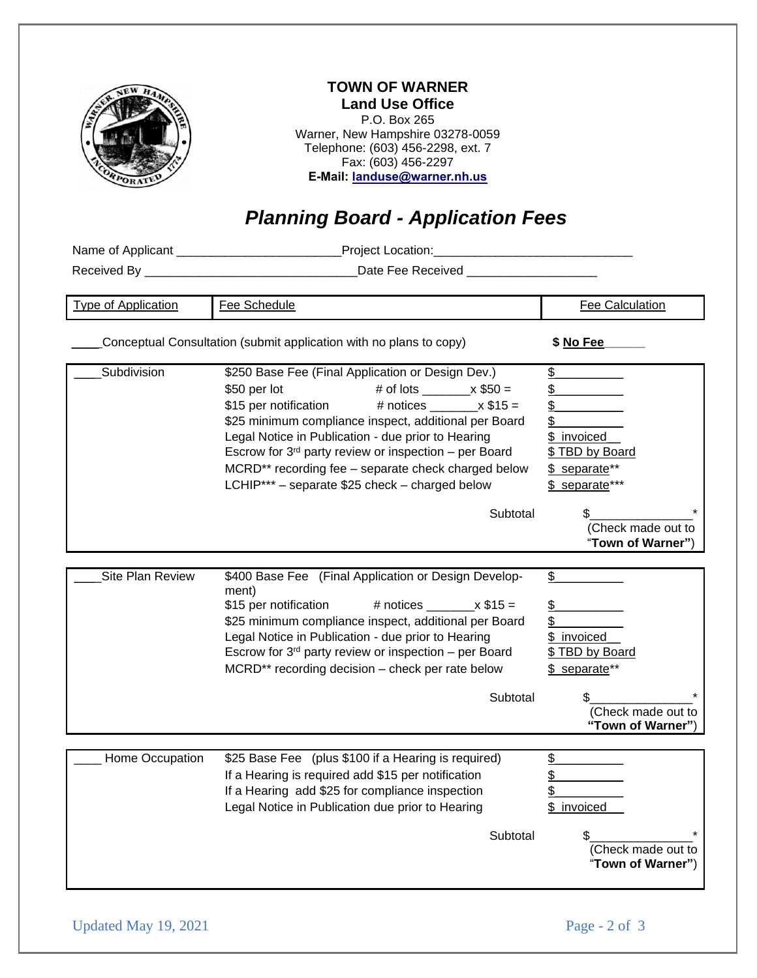|                                                                    | <b>TOWN OF WARNER</b><br><b>Land Use Office</b><br>P.O. Box 265<br>Warner, New Hampshire 03278-0059<br>Telephone: (603) 456-2298, ext. 7<br>Fax: (603) 456-2297<br>E-Mail: landuse@warner.nh.us<br><b>Planning Board - Application Fees</b>                                                                                                                                                                         |                                                                                                                                  |
|--------------------------------------------------------------------|---------------------------------------------------------------------------------------------------------------------------------------------------------------------------------------------------------------------------------------------------------------------------------------------------------------------------------------------------------------------------------------------------------------------|----------------------------------------------------------------------------------------------------------------------------------|
|                                                                    | Name of Applicant ________________________Project Location:______________________                                                                                                                                                                                                                                                                                                                                   |                                                                                                                                  |
|                                                                    | Date Fee Received _____________________                                                                                                                                                                                                                                                                                                                                                                             |                                                                                                                                  |
| <b>Type of Application</b>                                         | Fee Schedule                                                                                                                                                                                                                                                                                                                                                                                                        | <b>Fee Calculation</b>                                                                                                           |
| Conceptual Consultation (submit application with no plans to copy) | \$ No Fee                                                                                                                                                                                                                                                                                                                                                                                                           |                                                                                                                                  |
| Subdivision                                                        | \$250 Base Fee (Final Application or Design Dev.)<br>\$50 per lot<br>$$15$ per notification $$4$ notices $x$ $$15 =$<br>\$25 minimum compliance inspect, additional per Board<br>Legal Notice in Publication - due prior to Hearing<br>Escrow for $3rd$ party review or inspection – per Board<br>MCRD** recording fee - separate check charged below<br>LCHIP*** - separate \$25 check - charged below<br>Subtotal | \$<br>\$_<br>\$<br>\$ invoiced_<br>\$ TBD by Board<br>\$ separate**<br>\$ separate***<br>(Check made out to<br>"Town of Warner") |
| Site Plan Review                                                   | \$400 Base Fee (Final Application or Design Develop-<br>ment)<br>\$15 per notification<br># notices<br>$x$ \$15 =<br>\$25 minimum compliance inspect, additional per Board<br>Legal Notice in Publication - due prior to Hearing<br>Escrow for $3rd$ party review or inspection – per Board<br>MCRD** recording decision - check per rate below<br>Subtotal                                                         | \$<br>\$<br>\$<br>invoiced<br>\$<br><u>\$ TBD by Board</u><br>\$ separate**<br>(Check made out to<br>"Town of Warner")           |
| Home Occupation                                                    | \$25 Base Fee (plus \$100 if a Hearing is required)<br>If a Hearing is required add \$15 per notification<br>If a Hearing add \$25 for compliance inspection<br>Legal Notice in Publication due prior to Hearing<br>Subtotal                                                                                                                                                                                        | <u>\$</u><br>\$<br>\$<br>invoiced<br>(Check made out to<br>"Town of Warner")                                                     |

Updated May 19, 2021 Page - 2 of 3